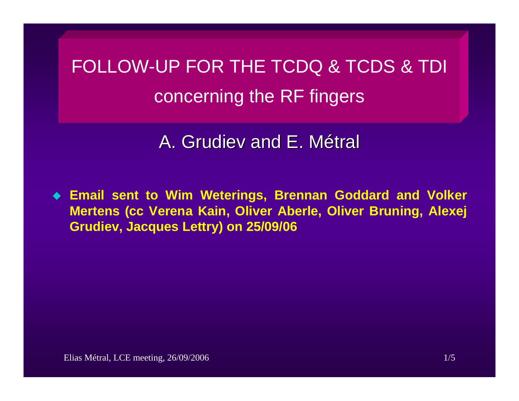FOLLOW-UP FOR THE TCDQ & TCDS & TDI concerning the RF fingers

A. Grudiev and E. Métral

 **Email sent to Wim Weterings, Brennan Goddard and Volker Mertens (cc Verena Kain, Oliver Aberle, Oliver Bruning, Alexej Grudiev, Jacques Lettry) on 25/09/06**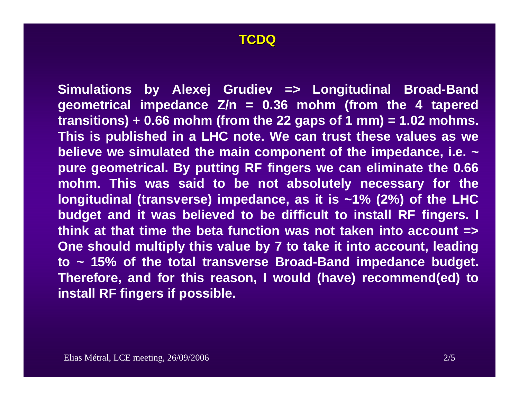## **TCDQ**

**Simulations by Alexej Grudiev => Longitudinal Broad-Band geometrical impedance Z/n = 0.36 mohm (from the 4 tapered**   $transitions) + 0.66$  mohm (from the 22 gaps of 1 mm) =  $1.02$  mohms. **This is published in a LHC note. We can trust these values as we believe we simulated the main component of the impedance, i.e. ~ pure geometrical. By putting RF fingers we can eliminate the 0.66 mohm. This was said to be not absolutely necessary for the longitudinal (transverse) impedance, as it is ~1% (2%) of the LHC budget and it was believed to be difficult to install RF fingers. I think at that time the beta function was not taken into account => One should multiply this value by 7 to take it into account, leading to ~ 15% of the total transverse Broad-Band impedance budget. Therefore, and for this reason, I would (have) recommend(ed) to install RF fingers if possible.**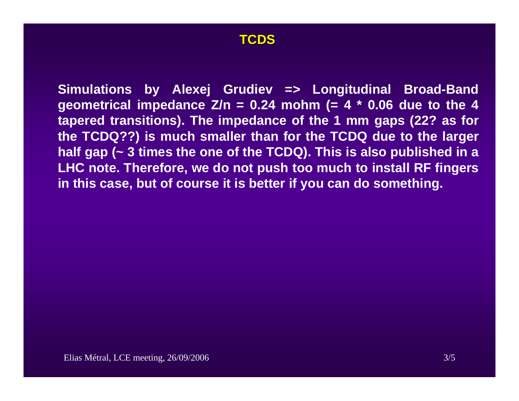## **TCDS**

**Simulations by Alexej Grudiev => Longitudinal Broad-Band geometrical impedance**  $\overline{Z/n} = 0.24$  **mohm** (= 4  $*$  0.06 due to the 4 **tapered transitions). The impedance of the 1 mm gaps (22? as for the TCDQ??) is much smaller than for the TCDQ due to the larger half gap (~ 3 times the one of the TCDQ). This is also published in a LHC note. Therefore, we do not push too much to install RF fingers in this case, but of course it is better if you can do something.**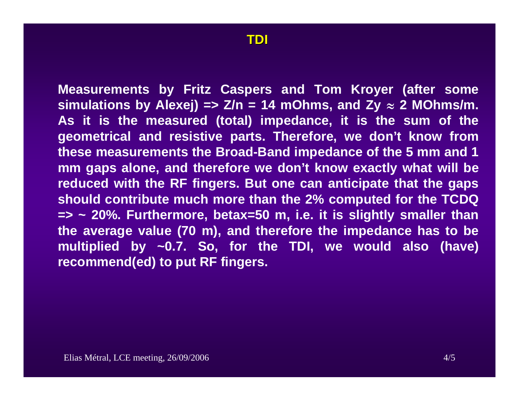**Measurements by Fritz Caspers and Tom Kroyer (after some**  simulations by Alexej) =>  $Z/n = 14$  mOhms, and  $Zy \approx 2$  MOhms/m. **As it is the measured (total) impedance, it is the sum of the geometrical and resistive parts. Therefore, we don't know from these measurements the Broad-Band impedance of the 5 mm and 1 mm gaps alone, and therefore we don't know exactly what will be reduced with the RF fingers. But one can anticipate that the gaps should contribute much more than the 2% computed for the TCDQ => ~ 20%. Furthermore, betax=50 m, i.e. it is slightly smaller than the average value (70 m), and therefore the impedance has to be multiplied by ~0.7. So, for the TDI, we would also (have) recommend(ed) to put RF fingers.**